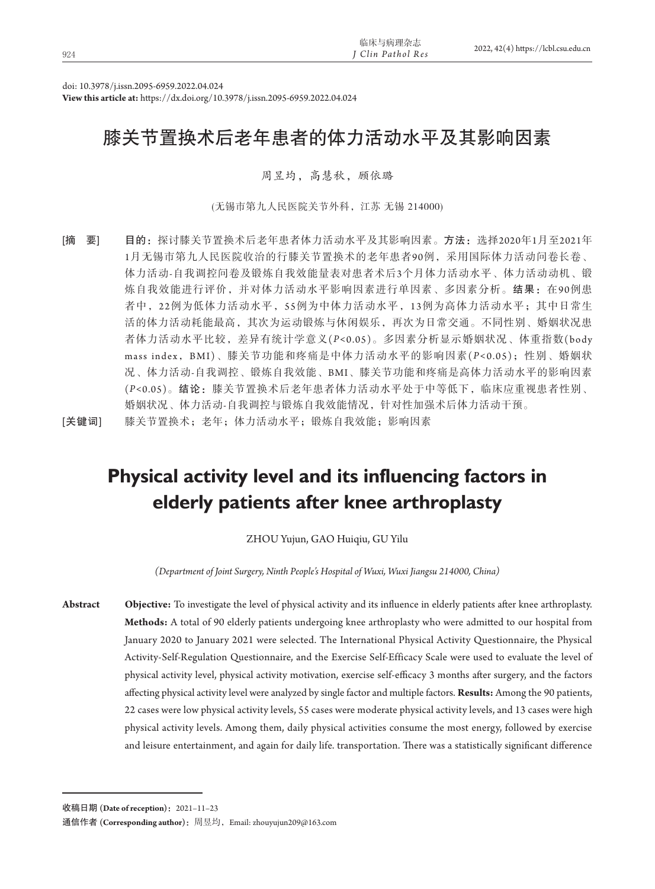| 924 | 临床与病理杂志<br>" Clin Pathol Res | 2022, 42(4) https://lcbl.csu.edu.cn |
|-----|------------------------------|-------------------------------------|
|     |                              |                                     |

doi: 10.3978/j.issn.2095-6959.2022.04.024

**View this article at:** https://dx.doi.org/10.3978/j.issn.2095-6959.2022.04.024

## 膝关节置换术后老年患者的体力活动水平及其影响因素

#### 周昱均,高慧秋,顾依璐

(无锡市第九人民医院关节外科,江苏 无锡 214000)

[摘 要] 目的: 探讨膝关节置换术后老年患者体力活动水平及其影响因素。方法:选择2020年1月至2021年 1月无锡市第九人民医院收治的行膝关节置换术的老年患者90例,采用国际体力活动问卷长卷、 体力活动-自我调控问卷及锻炼自我效能量表对患者术后3个月体力活动水平、体力活动动机、锻 炼自我效能进行评价,并对体力活动水平影响因素进行单因素、多因素分析。结果:在90例患 者中, 22例为低体力活动水平, 55例为中体力活动水平, 13例为高体力活动水平; 其中日常生 活的体力活动耗能最高,其次为运动锻炼与休闲娱乐,再次为日常交通。不同性别、婚姻状况患 者体力活动水平比较,差异有统计学意义(*P<*0.05)。多因素分析显示婚姻状况、体重指数(body mass index,BMI)、膝关节功能和疼痛是中体力活动水平的影响因素(*P <*0.05);性别、婚姻状 况、体力活动-自我调控、锻炼自我效能、BMI、膝关节功能和疼痛是高体力活动水平的影响因素 (*P<*0.05)。结论:膝关节置换术后老年患者体力活动水平处于中等低下,临床应重视患者性别、 婚姻状况、体力活动-自我调控与锻炼自我效能情况,针对性加强术后体力活动干预。

[关键词] 膝关节置换术;老年;体力活动水平;锻炼自我效能;影响因素

# **Physical activity level and its influencing factors in elderly patients after knee arthroplasty**

ZHOU Yujun, GAO Huiqiu, GU Yilu

*(Department of Joint Surgery, Ninth People's Hospital of Wuxi, Wuxi Jiangsu 214000, China)*

**Abstract Objective:** To investigate the level of physical activity and its influence in elderly patients after knee arthroplasty. **Methods:** A total of 90 elderly patients undergoing knee arthroplasty who were admitted to our hospital from January 2020 to January 2021 were selected. The International Physical Activity Questionnaire, the Physical Activity-Self-Regulation Questionnaire, and the Exercise Self-Efficacy Scale were used to evaluate the level of physical activity level, physical activity motivation, exercise self-efficacy 3 months after surgery, and the factors affecting physical activity level were analyzed by single factor and multiple factors. **Results:** Among the 90 patients, 22 cases were low physical activity levels, 55 cases were moderate physical activity levels, and 13 cases were high physical activity levels. Among them, daily physical activities consume the most energy, followed by exercise and leisure entertainment, and again for daily life. transportation. There was a statistically significant difference

收稿日期 **(Date of reception)**:2021–11–23

通信作者 (Corresponding author): 周昱均, Email: zhouyujun209@163.com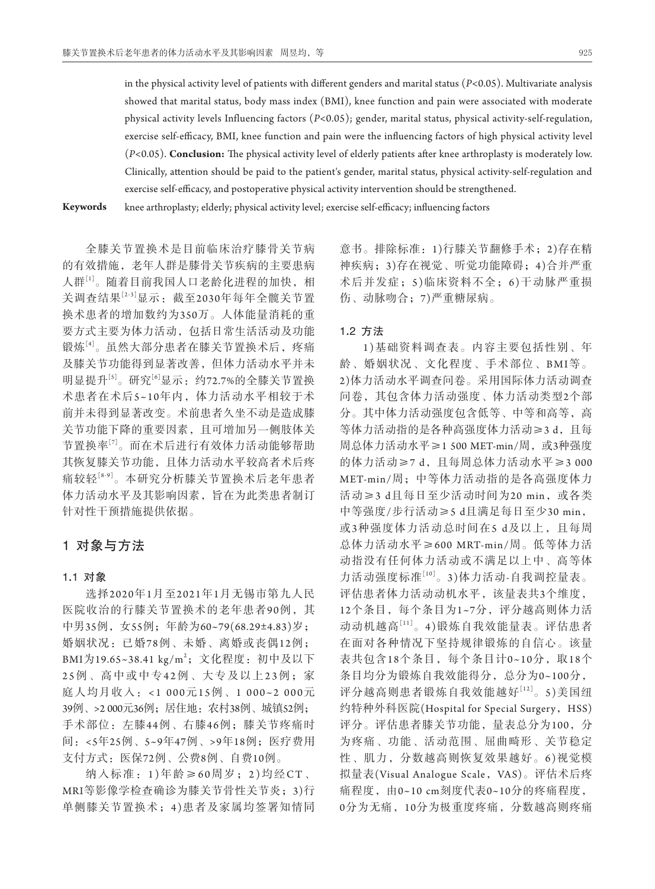in the physical activity level of patients with different genders and marital status (*P<*0.05). Multivariate analysis showed that marital status, body mass index (BMI), knee function and pain were associated with moderate physical activity levels Influencing factors (*P*<0.05); gender, marital status, physical activity-self-regulation, exercise self-efficacy, BMI, knee function and pain were the influencing factors of high physical activity level (*P<*0.05). **Conclusion:** The physical activity level of elderly patients after knee arthroplasty is moderately low. Clinically, attention should be paid to the patient's gender, marital status, physical activity-self-regulation and exercise self-efficacy, and postoperative physical activity intervention should be strengthened.

**Keywords** knee arthroplasty; elderly; physical activity level; exercise self-efficacy; influencing factors

全膝关节置换术是目前临床治疗膝骨关节病 的有效措施,老年人群是膝骨关节疾病的主要患病 人群[1]。随着目前我国人口老龄化进程的加快,相 关调查结果[2-3]显示:截至2030年每年全髋关节置 换术患者的增加数约为350万。人体能量消耗的重 要方式主要为体力活动,包括日常生活活动及功能 锻炼[4]。虽然大部分患者在膝关节置换术后,疼痛 及膝关节功能得到显著改善,但体力活动水平并未 明显提升[5]。研究[6]显示: 约72.7%的全膝关节置换 术患者在术后5~10年内,体力活动水平相较于术 前并未得到显著改变。术前患者久坐不动是造成膝 关节功能下降的重要因素,且可增加另一侧肢体关 节置换率[7]。而在术后进行有效体力活动能够帮助 其恢复膝关节功能,且体力活动水平较高者术后疼 痛较轻[8-9]。本研究分析膝关节置换术后老年患者 体力活动水平及其影响因素,旨在为此类患者制订 针对性干预措施提供依据。

## 1对象与方法

#### 1**.**1对象

选择2020年1月至2021年1月无锡市第九人民 医院收治的行膝关节置换术的老年患者90例, 其 中男35例,女55例;年龄为60~79(68.29±4.83)岁; 婚姻状况:已婚78例、未婚、离婚或丧偶12例; BMI为19.65~38.41 kg/m<sup>2</sup>;文化程度:初中及以下 25例、高中或中专42例、大专及以上23例;家 庭人均月收入: <1 000元15例、1 000~2 000元 39例、>2 000元36例;居住地:农村38例、城镇52例; 手术部位:左膝44例、右膝46例;膝关节疼痛时 间:<5年25例、5~9年47例、>9年18例;医疗费用 支付方式:医保72例、公费8例、自费10例。

纳入标准: 1)年龄≥60周岁; 2)均经CT、 MRI等影像学检查确诊为膝关节骨性关节炎;3)行 单侧膝关节置换术;4 )患者及家属均签署知情同

意书。排除标准:1)行膝关节翻修手术;2)存在精 神疾病;3)存在视觉、听觉功能障碍;4)合并严重 术后并发症;5 )临床资料不全;6 )干动脉严重损 伤、动脉吻合;7)严重糖尿病。

#### 1**.**2方法

1 )基础资料调查表。内容主要包括性别、年 龄、婚姻状况、文化程度、手术部位、BMI等。 2)体力活动水平调查问卷。采用国际体力活动调查 问卷,其包含体力活动强度、体力活动类型2个部 分。其中体力活动强度包含低等、中等和高等,高 等体力活动指的是各种高强度体力活动≥3 d,且每 周总体力活动水平≥1 500 MET-min/周,或3种强度 的体力活动≥7 d, 且每周总体力活动水平≥3 000 MET-min/周;中等体力活动指的是各高强度体力 活动≥3 d且每日至少活动时间为20 min, 或各类 中等强度/步行活动≥5 d且满足每日至少30 min, 或3种强度体力活动总时间在5 d及以上, 且每周 总体力活动水平≥600 MRT-min/周。低等体力活 动指没有任何体力活动或不满足以上中、高等体 力活动强度标准[10]。3)体力活动-自我调控量表。 评估患者体力活动动机水平,该量表共3个维度, 12个条目,每个条目为1~7分,评分越高则体力活 动动机越高[11]。4)锻炼自我效能量表。评估患者 在面对各种情况下坚持规律锻炼的自信心。该量 表共包含18个条目,每个条目计0~10分,取18个 条目均分为锻炼自我效能得分,总分为0~100分, 评分越高则患者锻炼自我效能越好[12]。5)美国纽 约特种外科医院(Hospital for Special Surgery, HSS) 评分。评估患者膝关节功能,量表总分为100,分 为疼痛、功能、活动范围、屈曲畸形、关节稳定 性、肌力,分数越高则恢复效果越好。6 )视觉模 拟量表(Visual Analogue Scale, VAS)。评估术后疼 痛程度,由0~10 cm刻度代表0~10分的疼痛程度, 0分为无痛,10分为极重度疼痛,分数越高则疼痛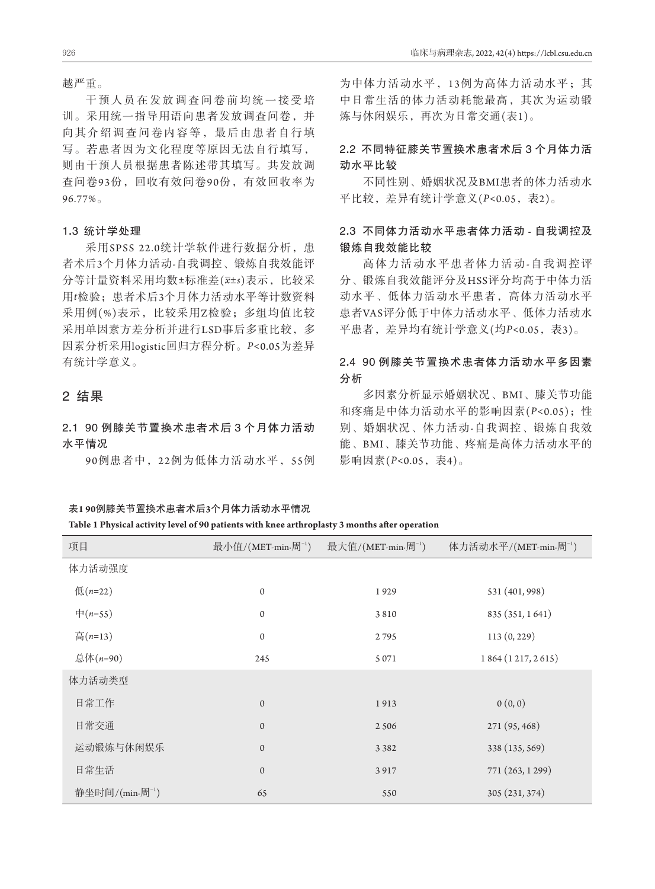越严重。

干预人员在发放调查问卷前均统一接受培 训。采用统一指导用语向患者发放调查问卷,并 向其介绍调查问卷内容等,最后由患者自行填 写。若患者因为文化程度等原因无法自行填写, 则由干预人员根据患者陈述带其填写。共发放调 查问卷93份,回收有效问卷90份,有效回收率为 96.77%。

#### 1**.**3统计学处理

采用SPSS 22.0统计学软件进行数据分析,患 者术后3个月体力活动-自我调控、锻炼自我效能评 分等计量资料采用均数±标准差(*x*±*s*)表示,比较采 用*t*检验;患者术后3个月体力活动水平等计数资料 采用例(%)表示, 比较采用Z检验; 多组均值比较 采用单因素方差分析并进行LSD事后多重比较,多 因素分析采用logistic回归方程分析。*P<*0.05为差异 有统计学意义。

## 2结果

2**.**190 例膝关节置换术患者术后 3 个月体力活动 水平情况

90例患者中,22例为低体力活动水平,55例

#### 表**1 90**例膝关节置换术患者术后**3**个月体力活动水平情况

#### **Table 1 Physical activity level of 90 patients with knee arthroplasty 3 months after operation**

为中体力活动水平,13例为高体力活动水平;其 中日常生活的体力活动耗能最高,其次为运动锻 炼与休闲娱乐,再次为日常交通(表1)。

## 2**.**2不同特征膝关节置换术患者术后 3 个月体力活 动水平比较

不同性别、婚姻状况及BMI患者的体力活动水 平比较,差异有统计学意义(*P<*0.05,表2)。

## 2**.**3不同体力活动水平患者体力活动 **-** 自我调控及 锻炼自我效能比较

高体力活动水平患者体力活动-自我调控评 分、锻炼自我效能评分及HSS评分均高于中体力活 动水平、低体力活动水平患者,高体力活动水平 患者VAS评分低于中体力活动水平、低体力活动水 平患者,差异均有统计学意义(均*P<*0.05,表3)。

## 2**.**490 例膝关节置换术患者体力活动水平多因素 分析

多因素分析显示婚姻状况、BMI、膝关节功能 和疼痛是中体力活动水平的影响因素(*P<*0.05);性 别、婚姻状况、体力活动-自我调控、锻炼自我效 能、BMI、膝关节功能、疼痛是高体力活动水平的 影响因素(*P<*0.05,表4)。

| 项目                          | 最小值/(MET-min·周 <sup>-1</sup> ) | 最大值/(MET-min.周 <sup>-1</sup> ) | 体力活动水平/(MET-min.周 <sup>-1</sup> ) |
|-----------------------------|--------------------------------|--------------------------------|-----------------------------------|
| 体力活动强度                      |                                |                                |                                   |
| 低 $(n=22)$                  | $\boldsymbol{0}$               | 1929                           | 531 (401, 998)                    |
| $\#(n=55)$                  | $\mathbf{0}$                   | 3810                           | 835 (351, 1641)                   |
| 高 $(n=13)$                  | $\mathbf{0}$                   | 2795                           | 113(0, 229)                       |
| 总体(n=90)                    | 245                            | 5 0 7 1                        | 1864 (1217, 2615)                 |
| 体力活动类型                      |                                |                                |                                   |
| 日常工作                        | $\mathbf{0}$                   | 1913                           | 0(0, 0)                           |
| 日常交通                        | $\mathbf{0}$                   | 2 5 0 6                        | 271 (95, 468)                     |
| 运动锻炼与休闲娱乐                   | $\mathbf{0}$                   | 3 3 8 2                        | 338 (135, 569)                    |
| 日常生活                        | $\mathbf{0}$                   | 3917                           | 771 (263, 1299)                   |
| 静坐时间/(min.周 <sup>-1</sup> ) | 65                             | 550                            | 305 (231, 374)                    |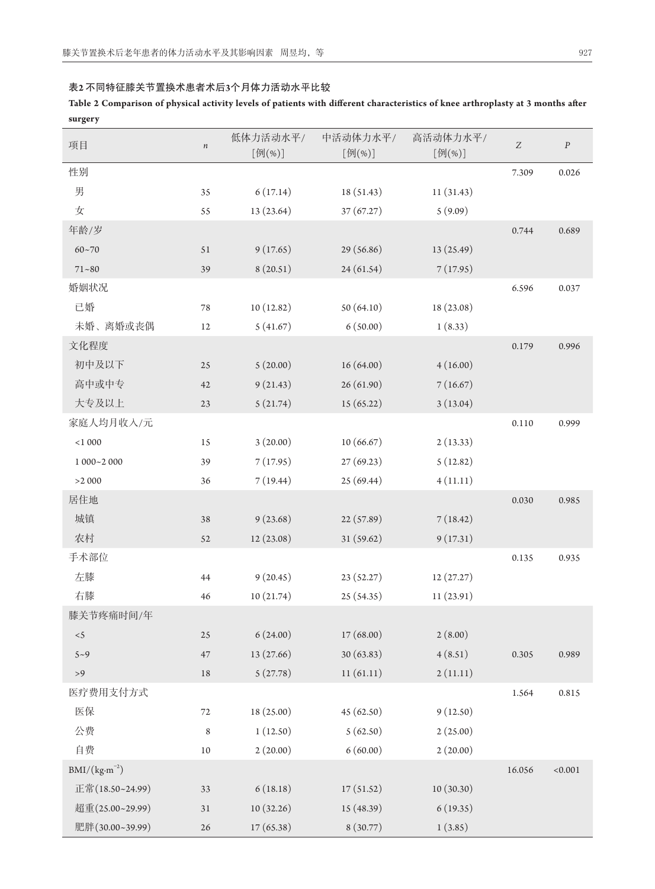| Table 2 Comparison of physical activity levels of patients with different characteristics of knee arthroplasty at 3 months after |  |
|----------------------------------------------------------------------------------------------------------------------------------|--|
| surgery                                                                                                                          |  |

| o<br>$\overline{\phantom{a}}$<br>项目 | $\,n$  | 低体力活动水平/<br>中活动体力水平/<br>高活动体力水平/<br>[例(%)]<br>[例(%)]<br>[例(%)] |            | $\boldsymbol{Z}$ | $\cal P$ |         |
|-------------------------------------|--------|----------------------------------------------------------------|------------|------------------|----------|---------|
| 性别                                  |        |                                                                |            |                  | 7.309    | 0.026   |
| 男                                   | 35     | 6(17.14)                                                       | 18(51.43)  | 11(31.43)        |          |         |
| 女                                   | 55     | 13 (23.64)                                                     | 37(67.27)  | 5(9.09)          |          |         |
| 年龄/岁                                |        |                                                                |            |                  | 0.744    | 0.689   |
| $60 - 70$                           | 51     | 9(17.65)                                                       | 29(56.86)  | 13 (25.49)       |          |         |
| $71 - 80$                           | 39     | 8(20.51)                                                       | 24(61.54)  | 7(17.95)         |          |         |
| 婚姻状况                                |        |                                                                |            |                  | 6.596    | 0.037   |
| 已婚                                  | $78\,$ | 10(12.82)                                                      | 50(64.10)  | 18 (23.08)       |          |         |
| 未婚、离婚或丧偶                            | 12     | 5(41.67)                                                       | 6(50.00)   | 1(8.33)          |          |         |
| 文化程度                                |        |                                                                |            |                  | 0.179    | 0.996   |
| 初中及以下                               | $25\,$ | 5(20.00)                                                       | 16(64.00)  | 4(16.00)         |          |         |
| 高中或中专                               | 42     | 9(21.43)                                                       | 26(61.90)  | 7(16.67)         |          |         |
| 大专及以上                               | $23\,$ | 5(21.74)                                                       | 15(65.22)  | 3(13.04)         |          |         |
| 家庭人均月收入/元                           |        |                                                                |            |                  | 0.110    | 0.999   |
| $<\!1\,000$                         | 15     | 3(20.00)                                                       | 10(66.67)  | 2(13.33)         |          |         |
| $1000 - 2000$                       | 39     | 7(17.95)                                                       | 27(69.23)  | 5(12.82)         |          |         |
| >2000                               | 36     | 7(19.44)                                                       | 25(69.44)  | 4(11.11)         |          |         |
| 居住地                                 |        |                                                                |            |                  | 0.030    | 0.985   |
| 城镇                                  | 38     | 9(23.68)                                                       | 22 (57.89) | 7(18.42)         |          |         |
| 农村                                  | 52     | 12(23.08)                                                      | 31(59.62)  | 9(17.31)         |          |         |
| 手术部位                                |        |                                                                |            |                  | 0.135    | 0.935   |
| 左膝                                  | 44     | 9(20.45)                                                       | 23(52.27)  | 12(27.27)        |          |         |
| 右膝                                  | 46     | 10(21.74)                                                      | 25 (54.35) | 11(23.91)        |          |         |
| 膝关节疼痛时间/年                           |        |                                                                |            |                  |          |         |
| < 5                                 | $25\,$ | 6(24.00)                                                       | 17(68.00)  | 2(8.00)          |          |         |
| $5 - 9$                             | 47     | 13(27.66)                                                      | 30(63.83)  | 4(8.51)          | 0.305    | 0.989   |
| $>9$                                | $18\,$ | 5(27.78)                                                       | 11(61.11)  | 2(11.11)         |          |         |
| 医疗费用支付方式                            |        |                                                                |            |                  | 1.564    | 0.815   |
| 医保                                  | 72     | 18 (25.00)                                                     | 45(62.50)  | 9(12.50)         |          |         |
| 公费                                  | 8      | 1(12.50)                                                       | 5(62.50)   | 2(25.00)         |          |         |
| 自费                                  | $10\,$ | 2(20.00)                                                       | 6(60.00)   | 2(20.00)         |          |         |
| $BMI/(kg·m^{-2})$                   |        |                                                                |            |                  | 16.056   | < 0.001 |
| 正常(18.50~24.99)                     | 33     | 6(18.18)                                                       | 17(51.52)  | 10(30.30)        |          |         |
| 超重(25.00~29.99)                     | 31     | 10(32.26)                                                      | 15 (48.39) | 6(19.35)         |          |         |
| 肥胖(30.00~39.99)                     | $26\,$ | 17(65.38)                                                      | 8(30.77)   | 1(3.85)          |          |         |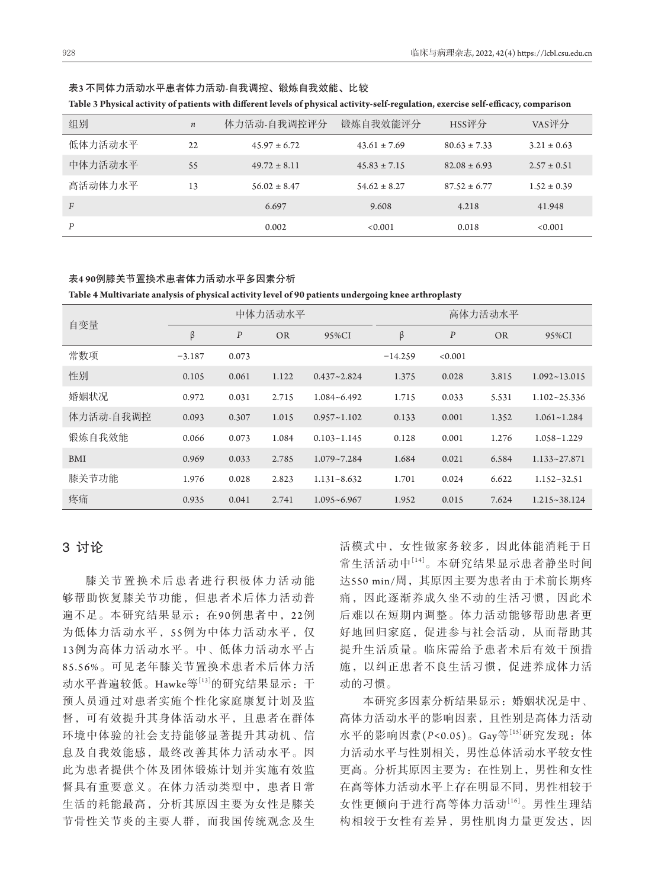|  | 表3 不同体力活动水平患者体力活动-自我调控、锻炼自我效能、比较 |  |  |
|--|----------------------------------|--|--|
|--|----------------------------------|--|--|

**Table 3 Physical activity of patients with different levels of physical activity-self-regulation, exercise self-efficacy, comparison**

| 组别             | $\it n$ | 体力活动-自我调控评分      | 锻炼自我效能评分         | HSS评分            | VAS评分           |
|----------------|---------|------------------|------------------|------------------|-----------------|
| 低体力活动水平        | 22      | $45.97 \pm 6.72$ | $43.61 \pm 7.69$ | $80.63 \pm 7.33$ | $3.21 \pm 0.63$ |
| 中体力活动水平        | 55      | $49.72 \pm 8.11$ | $45.83 \pm 7.15$ | $82.08 \pm 6.93$ | $2.57 \pm 0.51$ |
| 高活动体力水平        | 13      | $56.02 \pm 8.47$ | $54.62 \pm 8.27$ | $87.52 \pm 6.77$ | $1.52 \pm 0.39$ |
| $\overline{F}$ |         | 6.697            | 9.608            | 4.218            | 41.948          |
| P              |         | 0.002            | < 0.001          | 0.018            | < 0.001         |

#### 表**4 90**例膝关节置换术患者体力活动水平多因素分析

**Table 4 Multivariate analysis of physical activity level of 90 patients undergoing knee arthroplasty**

| 自变量       | 中体力活动水平  |                  |           | 高体力活动水平         |           |                  |           |                  |
|-----------|----------|------------------|-----------|-----------------|-----------|------------------|-----------|------------------|
|           | $\beta$  | $\boldsymbol{P}$ | <b>OR</b> | 95%CI           | β         | $\boldsymbol{P}$ | <b>OR</b> | 95%CI            |
| 常数项       | $-3.187$ | 0.073            |           |                 | $-14.259$ | < 0.001          |           |                  |
| 性别        | 0.105    | 0.061            | 1.122     | $0.437 - 2.824$ | 1.375     | 0.028            | 3.815     | $1.092 - 13.015$ |
| 婚姻状况      | 0.972    | 0.031            | 2.715     | $1.084 - 6.492$ | 1.715     | 0.033            | 5.531     | $1.102 - 25.336$ |
| 体力活动-自我调控 | 0.093    | 0.307            | 1.015     | $0.957 - 1.102$ | 0.133     | 0.001            | 1.352     | $1.061 - 1.284$  |
| 锻炼自我效能    | 0.066    | 0.073            | 1.084     | $0.103 - 1.145$ | 0.128     | 0.001            | 1.276     | $1.058 - 1.229$  |
| BMI       | 0.969    | 0.033            | 2.785     | $1.079 - 7.284$ | 1.684     | 0.021            | 6.584     | $1.133 - 27.871$ |
| 膝关节功能     | 1.976    | 0.028            | 2.823     | $1.131 - 8.632$ | 1.701     | 0.024            | 6.622     | $1.152 - 32.51$  |
| 疼痛        | 0.935    | 0.041            | 2.741     | $1.095 - 6.967$ | 1.952     | 0.015            | 7.624     | $1.215 - 38.124$ |

## 3讨论

膝关节置换术后患者进行积极体力活动能 够帮助恢复膝关节功能,但患者术后体力活动普 遍不足。本研究结果显示:在90例患者中,22例 为低体力活动水平,55例为中体力活动水平,仅 1 3例为高体力活动水平。中、低体力活动水平占 85.56%。可见老年膝关节置换术患者术后体力活 动水平普遍较低。Hawke等[13]的研究结果显示: 干 预人员通过对患者实施个性化家庭康复计划及监 督,可有效提升其身体活动水平,且患者在群体 环境中体验的社会支持能够显著提升其动机、信 息及自我效能感,最终改善其体力活动水平。因 此为患者提供个体及团体锻炼计划并实施有效监 督具有重要意义。在体力活动类型中,患者日常 生活的耗能最高,分析其原因主要为女性是膝关 节骨性关节炎的主要人群,而我国传统观念及生 活模式中,女性做家务较多,因此体能消耗于日 常生活活动中[14]。本研究结果显示患者静坐时间 达550 min/周, 其原因主要为患者由于术前长期疼 痛,因此逐渐养成久坐不动的生活习惯,因此术 后难以在短期内调整。体力活动能够帮助患者更 好地回归家庭,促进参与社会活动,从而帮助其 提升生活质量。临床需给予患者术后有效干预措 施,以纠正患者不良生活习惯,促进养成体力活 动的习惯。

本研究多因素分析结果显示:婚姻状况是中、 高体力活动水平的影响因素,且性别是高体力活动 水平的影响因素(P<0.05)。Gay等[15]研究发现: 体 力活动水平与性别相关,男性总体活动水平较女性 更高。分析其原因主要为:在性别上,男性和女性 在高等体力活动水平上存在明显不同,男性相较于 女性更倾向于进行高等体力活动[16]。男性生理结 构相较于女性有差异,男性肌肉力量更发达,因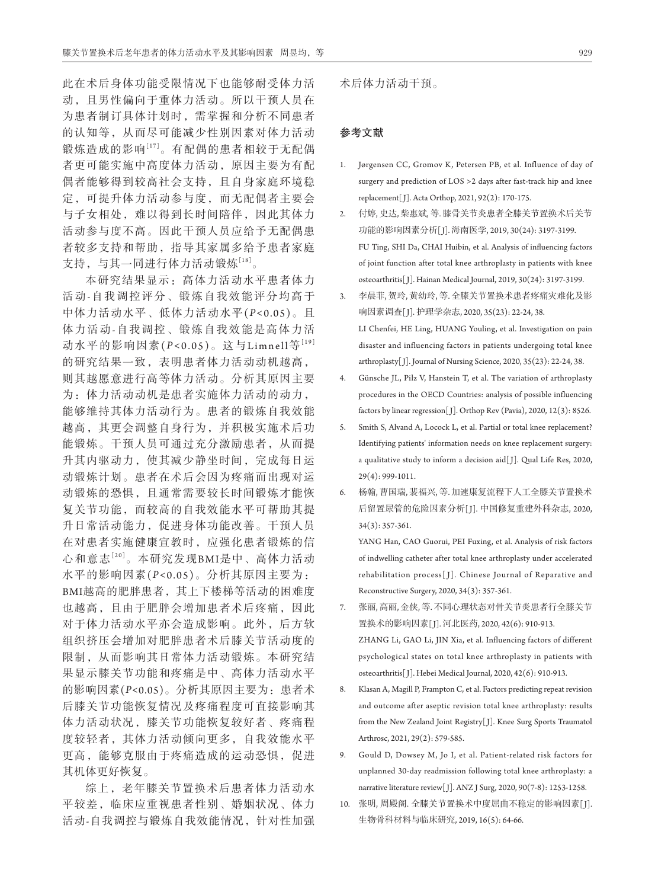此在术后身体功能受限情况下也能够耐受体力活 动,且男性偏向于重体力活动。所以干预人员在 为患者制订具体计划时,需掌握和分析不同患者 的认知等,从而尽可能减少性别因素对体力活动 锻炼造成的影响[17]。有配偶的患者相较于无配偶 者更可能实施中高度体力活动,原因主要为有配 偶者能够得到较高社会支持,且自身家庭环境稳 定,可提升体力活动参与度,而无配偶者主要会 与子女相处,难以得到长时间陪伴,因此其体力 活动参与度不高。因此干预人员应给予无配偶患 者较多支持和帮助,指导其家属多给予患者家庭 支持,与其一同进行体力活动锻炼[18]。

本研究结果显示:高体力活动水平患者体力 活 动-自我调控评分、锻炼自我效能评分均高于 中体力活动水平、低体力活动水平(*P <*0.05)。且 体力活动-自我调控、锻炼自我效能是高体力活 动水平的影响因素(P<0.05)。这与Limnell等<sup>[19]</sup> 的研究结果一致,表明患者体力活动动机越高, 则其越愿意进行高等体力活动。分析其原因主要 为:体力活动动机是患者实施体力活动的动力, 能够维持其体力活动行为。患者的锻炼自我效能 越高,其更会调整自身行为,并积极实施术后功 能锻炼。干预人员可通过充分激励患者,从而提 升其内驱动力,使其减少静坐时间,完成每日运 动锻炼计划。患者在术后会因为疼痛而出现对运 动锻炼的恐惧,且通常需要较长时间锻炼才能恢 复关节功能,而较高的自我效能水平可帮助其提 升日常活动能力,促进身体功能改善。干预人员 在对患者实施健康宣教时,应强化患者锻炼的信 心和意志[20]。本研究发现BMI是中、高体力活动 水平的影响因素(*P <*0.05)。分析其原因主要为: BMI越高的肥胖患者,其上下楼梯等活动的困难度 也越高,且由于肥胖会增加患者术后疼痛,因此 对于体力活动水平亦会造成影响。此外,后方软 组织挤压会增加对肥胖患者术后膝关节活动度的 限制,从而影响其日常体力活动锻炼。本研究结 果显示膝关节功能和疼痛是中、高体力活动水平 的影响因素(*P<*0.05)。分析其原因主要为:患者术 后膝关节功能恢复情况及疼痛程度可直接影响其 体力活动状况,膝关节功能恢复较好者、疼痛程 度较轻者,其体力活动倾向更多,自我效能水平 更高,能够克服由于疼痛造成的运动恐惧,促进 其机体更好恢复。

综上,老年膝关节置换术后患者体力活动水 平较差,临床应重视患者性别、婚姻状况、体力 活动-自我调控与锻炼自我效能情况,针对性加强

#### 参考文献

- 1. Jørgensen CC, Gromov K, Petersen PB, et al. Influence of day of surgery and prediction of LOS >2 days after fast-track hip and knee replacement[ J]. Acta Orthop, 2021, 92(2): 170-175.
- 2. 付婷, 史达, 柴惠斌, 等. 膝骨关节炎患者全膝关节置换术后关节 功能的影响因素分析[J]. 海南医学, 2019, 30(24): 3197-3199. FU Ting, SHI Da, CHAI Huibin, et al. Analysis of influencing factors of joint function after total knee arthroplasty in patients with knee osteoarthritis[ J]. Hainan Medical Journal, 2019, 30(24): 3197-3199.
- 3. 李晨菲, 贺玲, 黄幼玲, 等. 全膝关节置换术患者疼痛灾难化及影 响因素调查[ J]. 护理学杂志, 2020, 35(23): 22-24, 38. LI Chenfei, HE Ling, HUANG Youling, et al. Investigation on pain disaster and influencing factors in patients undergoing total knee arthroplasty[ J]. Journal of Nursing Science, 2020, 35(23): 22-24, 38.
- 4. Günsche JL, Pilz V, Hanstein T, et al. The variation of arthroplasty procedures in the OECD Countries: analysis of possible influencing factors by linear regression<sup>[J]</sup>. Orthop Rev (Pavia), 2020, 12(3): 8526.
- 5. Smith S, Alvand A, Locock L, et al. Partial or total knee replacement? Identifying patients' information needs on knee replacement surgery: a qualitative study to inform a decision aid[ J]. Qual Life Res, 2020, 29(4): 999-1011.
- 6. 杨翰, 曹国瑞, 裴福兴, 等. 加速康复流程下人工全膝关节置换术 后留置尿管的危险因素分析[J]. 中国修复重建外科杂志, 2020, 34(3): 357-361.

 YANG Han, CAO Guorui, PEI Fuxing, et al. Analysis of risk factors of indwelling catheter after total knee arthroplasty under accelerated rehabilitation process[ J]. Chinese Journal of Reparative and Reconstructive Surgery, 2020, 34(3): 357-361.

- 7. 张丽, 高丽, 金侠, 等. 不同心理状态对骨关节炎患者行全膝关节 置换术的影响因素[ J]. 河北医药, 2020, 42(6): 910-913. ZHANG Li, GAO Li, JIN Xia, et al. Influencing factors of different psychological states on total knee arthroplasty in patients with osteoarthritis[ J]. Hebei Medical Journal, 2020, 42(6): 910-913.
- 8. Klasan A, Magill P, Frampton C, et al. Factors predicting repeat revision and outcome after aseptic revision total knee arthroplasty: results from the New Zealand Joint Registry[ J]. Knee Surg Sports Traumatol Arthrosc, 2021, 29(2): 579-585.
- 9. Gould D, Dowsey M, Jo I, et al. Patient-related risk factors for unplanned 30-day readmission following total knee arthroplasty: a narrative literature review[J]. ANZ J Surg, 2020, 90(7-8): 1253-1258.
- 10. 张明, 周殿阁. 全膝关节置换术中度屈曲不稳定的影响因素[ J]. 生物骨科材料与临床研究, 2019, 16(5): 64-66.